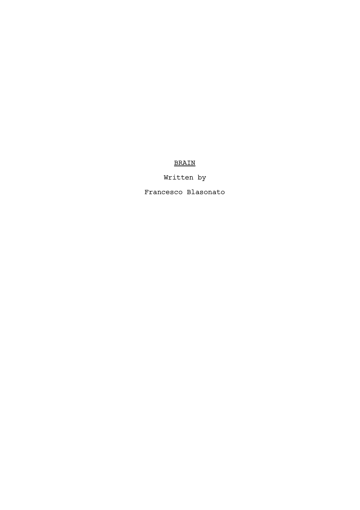## BRAIN

# Written by

Francesco Blasonato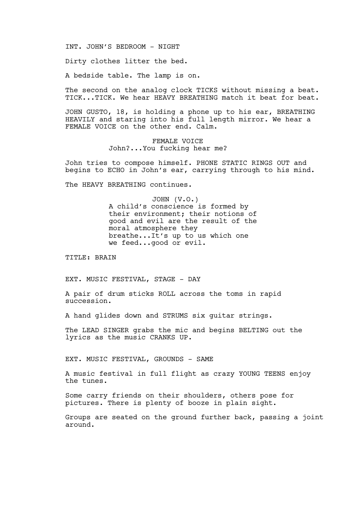INT. JOHN'S BEDROOM - NIGHT

Dirty clothes litter the bed.

A bedside table. The lamp is on.

The second on the analog clock TICKS without missing a beat. TICK...TICK. We hear HEAVY BREATHING match it beat for beat.

JOHN GUSTO, 18, is holding a phone up to his ear, BREATHING HEAVILY and staring into his full length mirror. We hear a FEMALE VOICE on the other end. Calm.

> FEMALE VOICE John?...You fucking hear me?

John tries to compose himself. PHONE STATIC RINGS OUT and begins to ECHO in John's ear, carrying through to his mind.

The HEAVY BREATHING continues.

JOHN (V.O.) A child's conscience is formed by their environment; their notions of good and evil are the result of the moral atmosphere they breathe...It's up to us which one we feed...good or evil.

TITLE: BRAIN

EXT. MUSIC FESTIVAL, STAGE - DAY

A pair of drum sticks ROLL across the toms in rapid succession.

A hand glides down and STRUMS six guitar strings.

The LEAD SINGER grabs the mic and begins BELTING out the lyrics as the music CRANKS UP.

EXT. MUSIC FESTIVAL, GROUNDS - SAME

A music festival in full flight as crazy YOUNG TEENS enjoy the tunes.

Some carry friends on their shoulders, others pose for pictures. There is plenty of booze in plain sight.

Groups are seated on the ground further back, passing a joint around.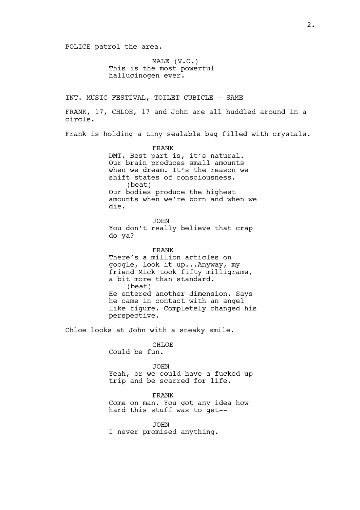POLICE patrol the area.

MALE (V.O.) This is the most powerful hallucinogen ever.

INT. MUSIC FESTIVAL, TOILET CUBICLE - SAME

FRANK, 17, CHLOE, 17 and John are all huddled around in a circle.

Frank is holding a tiny sealable bag filled with crystals.

FRANK DMT. Best part is, it's natural. Our brain produces small amounts when we dream. It's the reason we shift states of consciousness. (beat) Our bodies produce the highest amounts when we're born and when we die.

JOHN You don't really believe that crap do ya?

FRANK There's a million articles on google, look it up...Anyway, my friend Mick took fifty milligrams, a bit more than standard. (beat) He entered another dimension. Says he came in contact with an angel like figure. Completely changed his perspective.

Chloe looks at John with a sneaky smile.

CHLOE Could be fun.

JOHN Yeah, or we could have a fucked up trip and be scarred for life.

FRANK Come on man. You got any idea how hard this stuff was to get--

JOHN I never promised anything.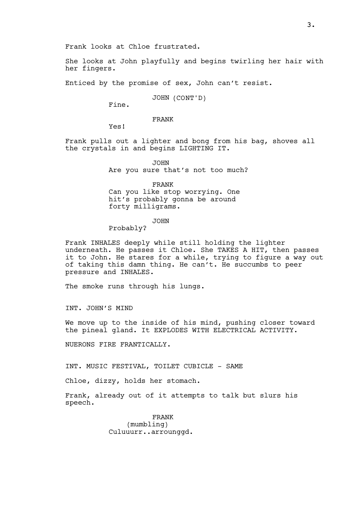Frank looks at Chloe frustrated.

She looks at John playfully and begins twirling her hair with her fingers.

Enticed by the promise of sex, John can't resist.

JOHN (CONT'D)

Fine.

FRANK

Yes!

Frank pulls out a lighter and bong from his bag, shoves all the crystals in and begins LIGHTING IT.

> JOHN Are you sure that's not too much?

FRANK Can you like stop worrying. One hit's probably gonna be around forty milligrams.

JOHN

Probably?

Frank INHALES deeply while still holding the lighter underneath. He passes it Chloe. She TAKES A HIT, then passes it to John. He stares for a while, trying to figure a way out of taking this damn thing. He can't. He succumbs to peer pressure and INHALES.

The smoke runs through his lungs.

INT. JOHN'S MIND

We move up to the inside of his mind, pushing closer toward the pineal gland. It EXPLODES WITH ELECTRICAL ACTIVITY.

NUERONS FIRE FRANTICALLY.

INT. MUSIC FESTIVAL, TOILET CUBICLE - SAME

Chloe, dizzy, holds her stomach.

Frank, already out of it attempts to talk but slurs his speech.

> FRANK (mumbling) Culuuurr..arrounggd.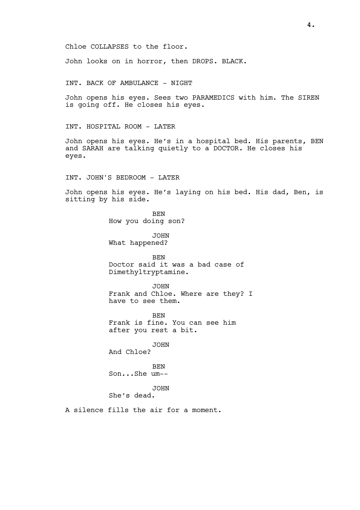Chloe COLLAPSES to the floor.

John looks on in horror, then DROPS. BLACK.

INT. BACK OF AMBULANCE - NIGHT

John opens his eyes. Sees two PARAMEDICS with him. The SIREN is going off. He closes his eyes.

INT. HOSPITAL ROOM - LATER

John opens his eyes. He's in a hospital bed. His parents, BEN and SARAH are talking quietly to a DOCTOR. He closes his eyes.

INT. JOHN'S BEDROOM - LATER

John opens his eyes. He's laying on his bed. His dad, Ben, is sitting by his side.

> BEN How you doing son?

JOHN What happened?

BEN Doctor said it was a bad case of Dimethyltryptamine.

JOHN Frank and Chloe. Where are they? I have to see them.

BEN Frank is fine. You can see him after you rest a bit.

JOHN And Chloe?

BEN Son...She um--

JOHN

She's dead.

A silence fills the air for a moment.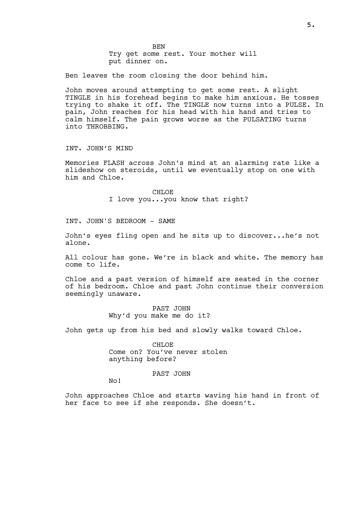Ben leaves the room closing the door behind him.

Try get some rest. Your mother will

BEN

put dinner on.

John moves around attempting to get some rest. A slight TINGLE in his forehead begins to make him anxious. He tosses trying to shake it off. The TINGLE now turns into a PULSE. In pain, John reaches for his head with his hand and tries to calm himself. The pain grows worse as the PULSATING turns into THROBBING.

INT. JOHN'S MIND

Memories FLASH across John's mind at an alarming rate like a slideshow on steroids, until we eventually stop on one with him and Chloe.

> CHLOE I love you...you know that right?

INT. JOHN'S BEDROOM - SAME

John's eyes fling open and he sits up to discover...he's not alone.

All colour has gone. We're in black and white. The memory has come to life.

Chloe and a past version of himself are seated in the corner of his bedroom. Chloe and past John continue their conversion seemingly unaware.

> PAST JOHN Why'd you make me do it?

John gets up from his bed and slowly walks toward Chloe.

CHLOE Come on? You've never stolen anything before?

PAST JOHN

No!

John approaches Chloe and starts waving his hand in front of her face to see if she responds. She doesn't.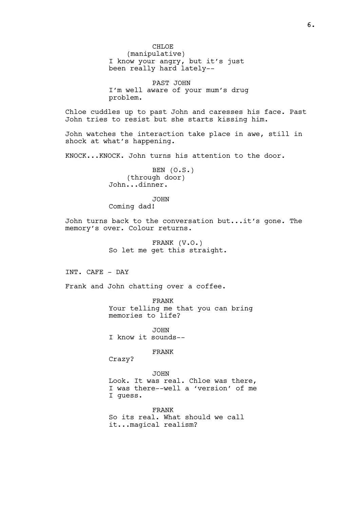CH<sub>LOE</sub> (manipulative) I know your angry, but it's just been really hard lately--

PAST JOHN I'm well aware of your mum's drug problem.

Chloe cuddles up to past John and caresses his face. Past John tries to resist but she starts kissing him.

John watches the interaction take place in awe, still in shock at what's happening.

KNOCK...KNOCK. John turns his attention to the door.

BEN (O.S.) (through door) John...dinner.

JOHN

Coming dad!

John turns back to the conversation but...it's gone. The memory's over. Colour returns.

> FRANK (V.O.) So let me get this straight.

INT. CAFE - DAY

Frank and John chatting over a coffee.

FRANK Your telling me that you can bring memories to life?

JOHN I know it sounds--

FRANK

Crazy?

JOHN Look. It was real. Chloe was there, I was there--well a 'version' of me I guess.

FRANK So its real. What should we call it...magical realism?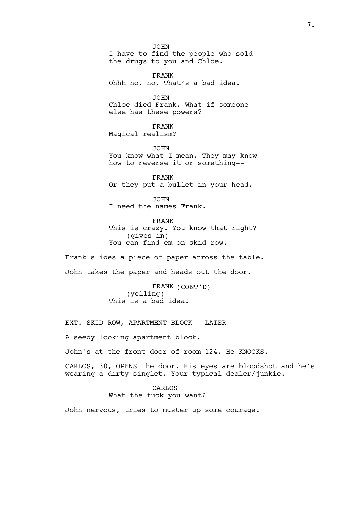JOHN I have to find the people who sold the drugs to you and Chloe.

FRANK Ohhh no, no. That's a bad idea.

JOHN Chloe died Frank. What if someone else has these powers?

FRANK Magical realism?

JOHN You know what I mean. They may know how to reverse it or something--

FRANK Or they put a bullet in your head.

JOHN I need the names Frank.

FRANK This is crazy. You know that right? (gives in) You can find em on skid row.

Frank slides a piece of paper across the table. John takes the paper and heads out the door.

> FRANK (CONT'D) (yelling) This is a bad idea!

EXT. SKID ROW, APARTMENT BLOCK - LATER

A seedy looking apartment block.

John's at the front door of room 124. He KNOCKS.

CARLOS, 30, OPENS the door. His eyes are bloodshot and he's wearing a dirty singlet. Your typical dealer/junkie.

#### CARLOS

What the fuck you want?

John nervous, tries to muster up some courage.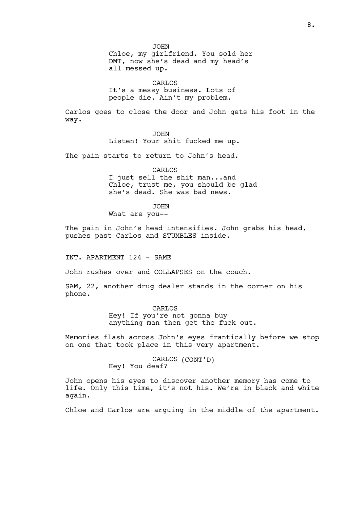JOHN Chloe, my girlfriend. You sold her DMT, now she's dead and my head's all messed up.

CARLOS It's a messy business. Lots of people die. Ain't my problem.

Carlos goes to close the door and John gets his foot in the way.

> JOHN Listen! Your shit fucked me up.

The pain starts to return to John's head.

CARLOS

I just sell the shit man...and Chloe, trust me, you should be glad she's dead. She was bad news.

JOHN

What are you--

The pain in John's head intensifies. John grabs his head, pushes past Carlos and STUMBLES inside.

INT. APARTMENT 124 - SAME

John rushes over and COLLAPSES on the couch.

SAM, 22, another drug dealer stands in the corner on his phone.

> CARLOS Hey! If you're not gonna buy anything man then get the fuck out.

Memories flash across John's eyes frantically before we stop on one that took place in this very apartment.

> CARLOS (CONT'D) Hey! You deaf?

John opens his eyes to discover another memory has come to life. Only this time, it's not his. We're in black and white again.

Chloe and Carlos are arguing in the middle of the apartment.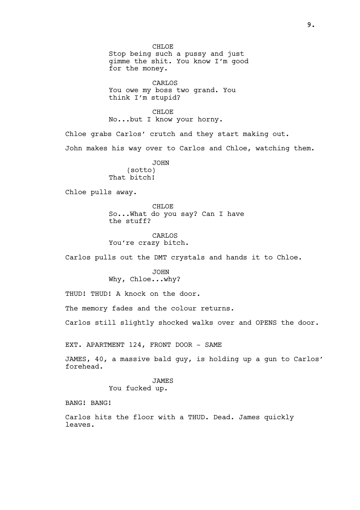CH<sub>LOE</sub> Stop being such a pussy and just gimme the shit. You know I'm good for the money.

CARLOS You owe my boss two grand. You think I'm stupid?

CH<sub>LOE</sub> No...but I know your horny.

Chloe grabs Carlos' crutch and they start making out.

John makes his way over to Carlos and Chloe, watching them.

JOHN (sotto) That bitch!

Chloe pulls away.

CHLOE So...What do you say? Can I have the stuff?

CARLOS You're crazy bitch.

Carlos pulls out the DMT crystals and hands it to Chloe.

JOHN Why, Chloe...why?

THUD! THUD! A knock on the door.

The memory fades and the colour returns.

Carlos still slightly shocked walks over and OPENS the door.

EXT. APARTMENT 124, FRONT DOOR - SAME

JAMES, 40, a massive bald guy, is holding up a gun to Carlos' forehead.

> JAMES You fucked up.

BANG! BANG!

Carlos hits the floor with a THUD. Dead. James quickly leaves.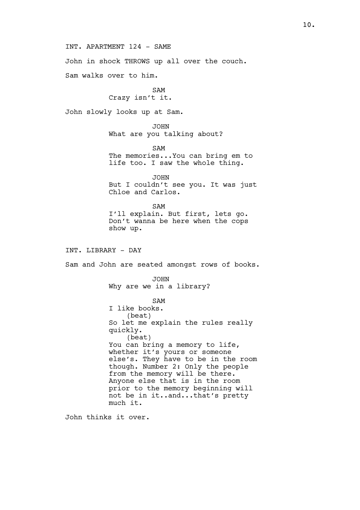INT. APARTMENT 124 - SAME

John in shock THROWS up all over the couch.

Sam walks over to him.

SAM Crazy isn't it.

John slowly looks up at Sam.

JOHN What are you talking about?

SAM The memories...You can bring em to life too. I saw the whole thing.

JOHN But I couldn't see you. It was just Chloe and Carlos.

SAM I'll explain. But first, lets go. Don't wanna be here when the cops show up.

INT. LIBRARY - DAY

Sam and John are seated amongst rows of books.

JOHN Why are we in a library?

SAM

I like books. (beat) So let me explain the rules really quickly. (beat) You can bring a memory to life, whether it's yours or someone else's. They have to be in the room though. Number 2: Only the people from the memory will be there. Anyone else that is in the room prior to the memory beginning will not be in it..and...that's pretty much it.

John thinks it over.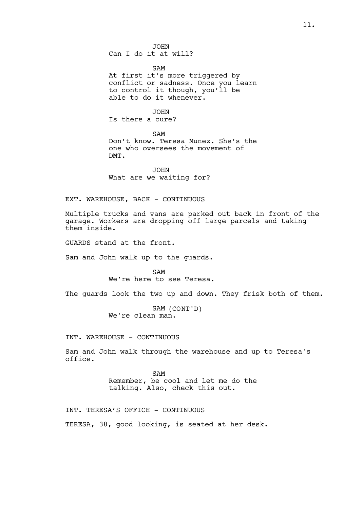JOHN Can I do it at will?

SAM At first it's more triggered by conflict or sadness. Once you learn to control it though, you'll be able to do it whenever.

JOHN Is there a cure?

SAM Don't know. Teresa Munez. She's the one who oversees the movement of DMT.

JOHN What are we waiting for?

EXT. WAREHOUSE, BACK - CONTINUOUS

Multiple trucks and vans are parked out back in front of the garage. Workers are dropping off large parcels and taking them inside.

GUARDS stand at the front.

Sam and John walk up to the guards.

SAM We're here to see Teresa.

The guards look the two up and down. They frisk both of them.

SAM (CONT'D) We're clean man.

INT. WAREHOUSE - CONTINUOUS

Sam and John walk through the warehouse and up to Teresa's office.

> SAM Remember, be cool and let me do the talking. Also, check this out.

INT. TERESA'S OFFICE - CONTINUOUS TERESA, 38, good looking, is seated at her desk.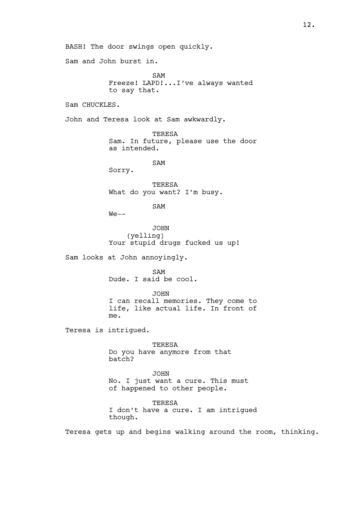BASH! The door swings open quickly. Sam and John burst in. SAM Freeze! LAPD!...I've always wanted to say that. Sam CHUCKLES. John and Teresa look at Sam awkwardly. TERESA Sam. In future, please use the door as intended. SAM Sorry. TERESA What do you want? I'm busy. SAM  $We --$ JOHN (yelling) Your stupid drugs fucked us up! Sam looks at John annoyingly. SAM Dude. I said be cool. JOHN I can recall memories. They come to life, like actual life. In front of me. Teresa is intrigued. TERESA Do you have anymore from that batch? JOHN No. I just want a cure. This must of happened to other people. TERESA I don't have a cure. I am intrigued though.

Teresa gets up and begins walking around the room, thinking.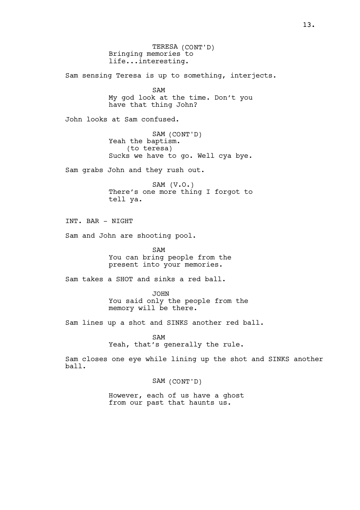TERESA (CONT'D) Bringing memories to life...interesting. Sam sensing Teresa is up to something, interjects. SAM My god look at the time. Don't you have that thing John? John looks at Sam confused. SAM (CONT'D) Yeah the baptism. (to teresa) Sucks we have to go. Well cya bye. Sam grabs John and they rush out. SAM (V.O.) There's one more thing I forgot to tell ya. INT. BAR - NIGHT Sam and John are shooting pool. SAM You can bring people from the present into your memories. Sam takes a SHOT and sinks a red ball. JOHN You said only the people from the memory will be there. Sam lines up a shot and SINKS another red ball. SAM Yeah, that's generally the rule. Sam closes one eye while lining up the shot and SINKS another ball. SAM (CONT'D) However, each of us have a ghost from our past that haunts us.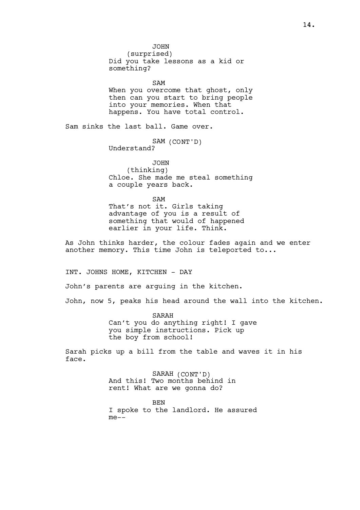JOHN (surprised) Did you take lessons as a kid or something?

SAM

When you overcome that ghost, only then can you start to bring people into your memories. When that happens. You have total control.

Sam sinks the last ball. Game over.

SAM (CONT'D) Understand?

JOHN (thinking) Chloe. She made me steal something a couple years back.

SAM

That's not it. Girls taking advantage of you is a result of something that would of happened earlier in your life. Think.

As John thinks harder, the colour fades again and we enter another memory. This time John is teleported to...

INT. JOHNS HOME, KITCHEN - DAY

John's parents are arguing in the kitchen.

John, now 5, peaks his head around the wall into the kitchen.

SARAH Can't you do anything right! I gave you simple instructions. Pick up the boy from school!

Sarah picks up a bill from the table and waves it in his face.

> SARAH (CONT'D) And this! Two months behind in rent! What are we gonna do?

**BEN** I spoke to the landlord. He assured  $me--$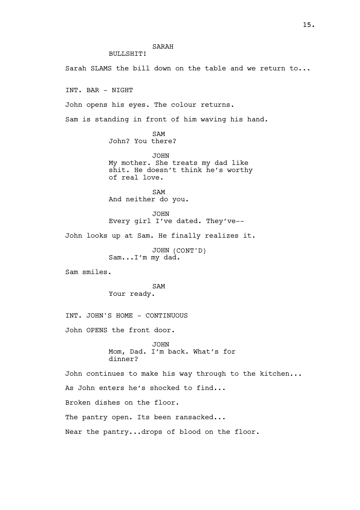BULLSHIT!

Sarah SLAMS the bill down on the table and we return to...

INT. BAR - NIGHT

John opens his eyes. The colour returns.

Sam is standing in front of him waving his hand.

SAM John? You there?

JOHN My mother. She treats my dad like shit. He doesn't think he's worthy of real love.

SAM And neither do you.

JOHN Every girl I've dated. They've--

John looks up at Sam. He finally realizes it.

JOHN (CONT'D) Sam...I'm my dad.

Sam smiles.

SAM Your ready.

INT. JOHN'S HOME - CONTINUOUS

John OPENS the front door.

JOHN Mom, Dad. I'm back. What's for dinner?

John continues to make his way through to the kitchen... As John enters he's shocked to find... Broken dishes on the floor. The pantry open. Its been ransacked... Near the pantry...drops of blood on the floor.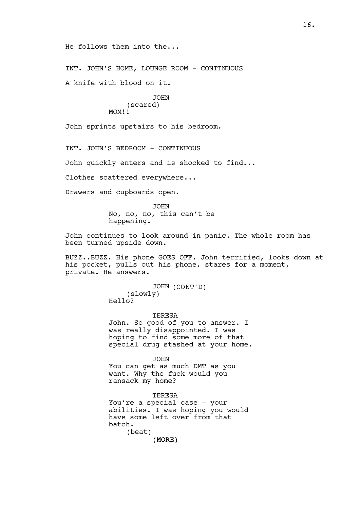He follows them into the...

INT. JOHN'S HOME, LOUNGE ROOM - CONTINUOUS

A knife with blood on it.

**JOHN** (scared) MOM!!

John sprints upstairs to his bedroom.

INT. JOHN'S BEDROOM - CONTINUOUS

John quickly enters and is shocked to find...

Clothes scattered everywhere...

Drawers and cupboards open.

JOHN No, no, no, this can't be happening.

John continues to look around in panic. The whole room has been turned upside down.

BUZZ..BUZZ. His phone GOES OFF. John terrified, looks down at his pocket, pulls out his phone, stares for a moment, private. He answers.

> JOHN (CONT'D) (slowly) Hello?

**TERESA** John. So good of you to answer. I was really disappointed. I was hoping to find some more of that special drug stashed at your home.

JOHN You can get as much DMT as you want. Why the fuck would you ransack my home?

(MORE) **TERESA** You're a special case - your abilities. I was hoping you would have some left over from that batch. (beat)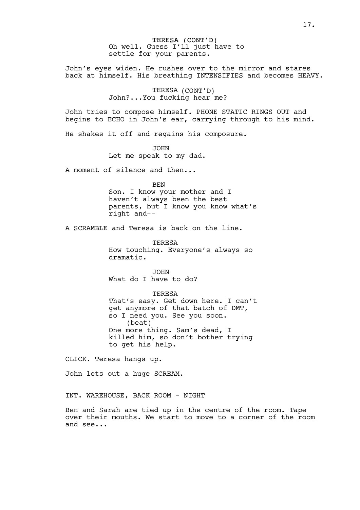TERESA (CONT'D) Oh well. Guess I'll just have to settle for your parents.

John's eyes widen. He rushes over to the mirror and stares back at himself. His breathing INTENSIFIES and becomes HEAVY.

> TERESA (CONT'D) John?...You fucking hear me?

John tries to compose himself. PHONE STATIC RINGS OUT and begins to ECHO in John's ear, carrying through to his mind.

He shakes it off and regains his composure.

JOHN Let me speak to my dad.

A moment of silence and then...

**BEN** 

Son. I know your mother and I haven't always been the best parents, but I know you know what's right and--

A SCRAMBLE and Teresa is back on the line.

TERESA How touching. Everyone's always so dramatic.

JOHN What do I have to do?

TERESA

That's easy. Get down here. I can't get anymore of that batch of DMT, so I need you. See you soon. (beat) One more thing. Sam's dead, I killed him, so don't bother trying to get his help.

CLICK. Teresa hangs up.

John lets out a huge SCREAM.

INT. WAREHOUSE, BACK ROOM - NIGHT

Ben and Sarah are tied up in the centre of the room. Tape over their mouths. We start to move to a corner of the room and see...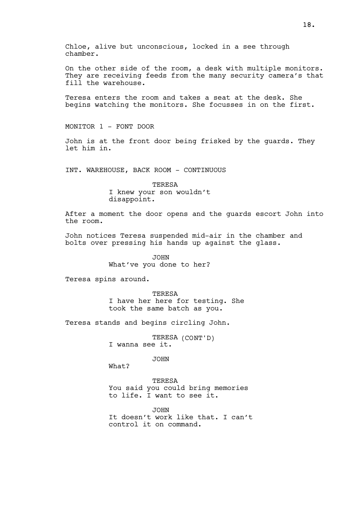On the other side of the room, a desk with multiple monitors. They are receiving feeds from the many security camera's that fill the warehouse.

Teresa enters the room and takes a seat at the desk. She begins watching the monitors. She focusses in on the first.

MONITOR 1 - FONT DOOR

John is at the front door being frisked by the guards. They let him in.

INT. WAREHOUSE, BACK ROOM - CONTINUOUS

TERESA I knew your son wouldn't disappoint.

After a moment the door opens and the guards escort John into the room.

John notices Teresa suspended mid-air in the chamber and bolts over pressing his hands up against the glass.

> JOHN What've you done to her?

Teresa spins around.

TERESA I have her here for testing. She took the same batch as you.

Teresa stands and begins circling John.

TERESA (CONT'D) I wanna see it.

JOHN

What?

TERESA You said you could bring memories to life. I want to see it.

JOHN It doesn't work like that. I can't control it on command.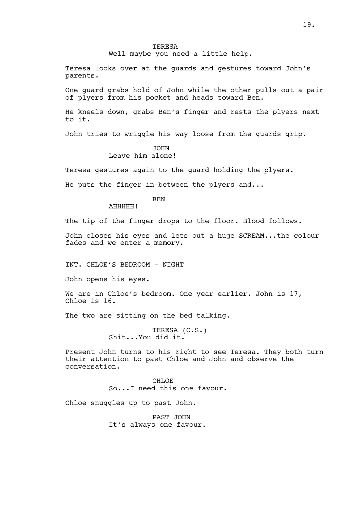Well maybe you need a little help.

Teresa looks over at the guards and gestures toward John's parents.

One guard grabs hold of John while the other pulls out a pair of plyers from his pocket and heads toward Ben.

He kneels down, grabs Ben's finger and rests the plyers next to it.

John tries to wriggle his way loose from the guards grip.

### JOHN Leave him alone!

Teresa gestures again to the guard holding the plyers.

He puts the finger in-between the plyers and...

BEN

AHHHHH!

The tip of the finger drops to the floor. Blood follows.

John closes his eyes and lets out a huge SCREAM...the colour fades and we enter a memory.

INT. CHLOE'S BEDROOM - NIGHT

John opens his eyes.

We are in Chloe's bedroom. One year earlier. John is 17, Chloe is 16.

The two are sitting on the bed talking.

TERESA (O.S.) Shit...You did it.

Present John turns to his right to see Teresa. They both turn their attention to past Chloe and John and observe the conversation.

> CHLOE So...I need this one favour.

Chloe snuggles up to past John.

PAST JOHN It's always one favour.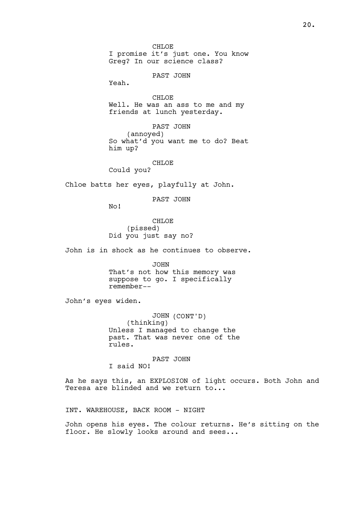CH<sub>LOE</sub> I promise it's just one. You know Greg? In our science class?

PAST JOHN

Yeah.

CHLOE<sup>1</sup> Well. He was an ass to me and my friends at lunch yesterday.

PAST JOHN (annoyed) So what'd you want me to do? Beat him up?

CHLOE Could you?

Chloe batts her eyes, playfully at John.

PAST JOHN

No!

CHLOE (pissed) Did you just say no?

John is in shock as he continues to observe.

JOHN That's not how this memory was suppose to go. I specifically remember--

John's eyes widen.

JOHN (CONT'D) (thinking) Unless I managed to change the past. That was never one of the rules.

PAST JOHN

I said NO!

As he says this, an EXPLOSION of light occurs. Both John and Teresa are blinded and we return to...

INT. WAREHOUSE, BACK ROOM - NIGHT

John opens his eyes. The colour returns. He's sitting on the floor. He slowly looks around and sees...